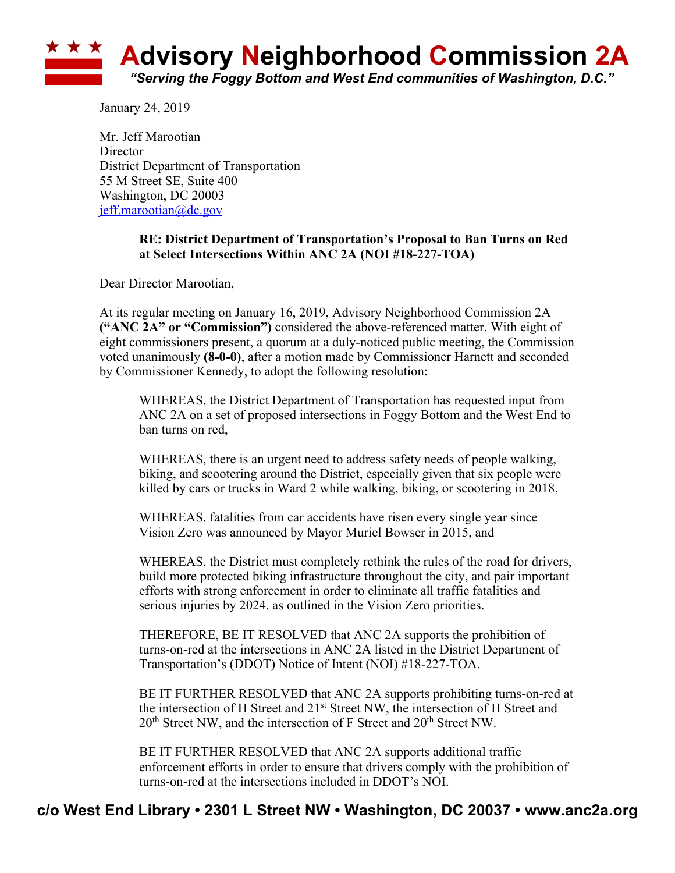

January 24, 2019

Mr. Jeff Marootian **Director** District Department of Transportation 55 M Street SE, Suite 400 Washington, DC 20003 jeff.marootian@dc.gov

## **RE: District Department of Transportation's Proposal to Ban Turns on Red at Select Intersections Within ANC 2A (NOI #18-227-TOA)**

Dear Director Marootian,

At its regular meeting on January 16, 2019, Advisory Neighborhood Commission 2A **("ANC 2A" or "Commission")** considered the above-referenced matter. With eight of eight commissioners present, a quorum at a duly-noticed public meeting, the Commission voted unanimously **(8-0-0)**, after a motion made by Commissioner Harnett and seconded by Commissioner Kennedy, to adopt the following resolution:

WHEREAS, the District Department of Transportation has requested input from ANC 2A on a set of proposed intersections in Foggy Bottom and the West End to ban turns on red,

WHEREAS, there is an urgent need to address safety needs of people walking, biking, and scootering around the District, especially given that six people were killed by cars or trucks in Ward 2 while walking, biking, or scootering in 2018,

WHEREAS, fatalities from car accidents have risen every single year since Vision Zero was announced by Mayor Muriel Bowser in 2015, and

WHEREAS, the District must completely rethink the rules of the road for drivers, build more protected biking infrastructure throughout the city, and pair important efforts with strong enforcement in order to eliminate all traffic fatalities and serious injuries by 2024, as outlined in the Vision Zero priorities.

THEREFORE, BE IT RESOLVED that ANC 2A supports the prohibition of turns-on-red at the intersections in ANC 2A listed in the District Department of Transportation's (DDOT) Notice of Intent (NOI) #18-227-TOA.

BE IT FURTHER RESOLVED that ANC 2A supports prohibiting turns-on-red at the intersection of H Street and 21st Street NW, the intersection of H Street and 20<sup>th</sup> Street NW, and the intersection of F Street and 20<sup>th</sup> Street NW.

BE IT FURTHER RESOLVED that ANC 2A supports additional traffic enforcement efforts in order to ensure that drivers comply with the prohibition of turns-on-red at the intersections included in DDOT's NOI.

## **c/o West End Library • 2301 L Street NW • Washington, DC 20037 • www.anc2a.org**